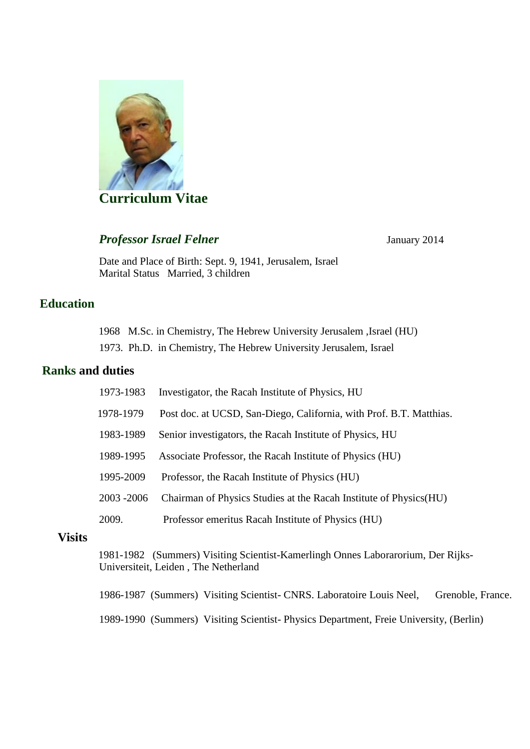

# **Professor Israel Felner** January 2014

Date and Place of Birth: Sept. 9, 1941, Jerusalem, Israel Marital Status Married, 3 children

# **Education**

1968 M.Sc. in Chemistry, The Hebrew University Jerusalem ,Israel (HU) 1973. Ph.D. in Chemistry, The Hebrew University Jerusalem, Israel

### **Ranks and duties**

| 1973-1983   | Investigator, the Racah Institute of Physics, HU                    |
|-------------|---------------------------------------------------------------------|
| 1978-1979   | Post doc. at UCSD, San-Diego, California, with Prof. B.T. Matthias. |
| 1983-1989   | Senior investigators, the Racah Institute of Physics, HU            |
| 1989-1995   | Associate Professor, the Racah Institute of Physics (HU)            |
| 1995-2009   | Professor, the Racah Institute of Physics (HU)                      |
| 2003 - 2006 | Chairman of Physics Studies at the Racah Institute of Physics (HU)  |
| 2009.       | Professor emeritus Racah Institute of Physics (HU)                  |
|             |                                                                     |

#### **Visits**

 1981-1982 (Summers) Visiting Scientist-Kamerlingh Onnes Laborarorium, Der Rijks-Universiteit, Leiden , The Netherland

1986-1987 (Summers) Visiting Scientist- CNRS. Laboratoire Louis Neel, Grenoble, France.

1989-1990 (Summers) Visiting Scientist- Physics Department, Freie University, (Berlin)